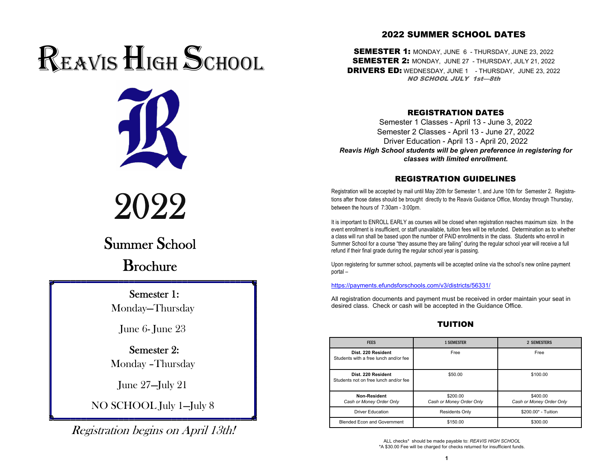# REAVIS HIGH SCHOOL



2022

## Summer School

Brochure

## Semester 1:

Monday—Thursday

June 6- June 23

 Semester 2:Monday –Thursday

June 27—July 21

NO SCHOOL July 1—July 8

Registration begins on April 13th!

## 2022 SUMMER SCHOOL DATES

SEMESTER 1: MONDAY, JUNE 6 - THURSDAY, JUNE 23, 2022 SEMESTER 2: MONDAY, JUNE 27 - THURSDAY, JULY 21, 2022 **DRIVERS ED:** WEDNESDAY, JUNE 1 - THURSDAY, JUNE 23, 2022 NO SCHOOL JULY 1st—8th

#### REGISTRATION DATES

Semester 1 Classes - April 13 - June 3, 2022 Semester 2 Classes - April 13 - June 27, 2022 Driver Education - April 13 - April 20, 2022 *Reavis High School students will be given preference in registering for classes with limited enrollment.*

### REGISTRATION GUIDELINES

Registration will be accepted by mail until May 20th for Semester 1, and June 10th for Semester 2. Registrations after those dates should be brought directly to the Reavis Guidance Office, Monday through Thursday, between the hours of 7:30am - 3:00pm.

It is important to ENROLL EARLY as courses will be closed when registration reaches maximum size. In the event enrollment is insufficient, or staff unavailable, tuition fees will be refunded. Determination as to whether a class will run shall be based upon the number of PAID enrollments in the class. Students who enroll in Summer School for a course "they assume they are failing" during the regular school year will receive a full refund if their final grade during the regular school year is passing.

Upon registering for summer school, payments will be accepted online via the school's new online payment portal –

#### https://payments.efundsforschools.com/v3/districts/56331/

All registration documents and payment must be received in order maintain your seat in desired class. Check or cash will be accepted in the Guidance Office.

## TUITION

| <b>FEES</b>                                                 | <b>1 SEMESTER</b>                    | 2 SEMESTERS                          |
|-------------------------------------------------------------|--------------------------------------|--------------------------------------|
| Dist. 220 Resident<br>Students with a free lunch and/or fee | Free                                 | Free                                 |
| Dist. 220 Resident<br>Students not on free lunch and/or fee | \$50.00                              | \$100.00                             |
| <b>Non-Resident</b><br>Cash or Money Order Only             | \$200.00<br>Cash or Money Order Only | \$400.00<br>Cash or Money Order Only |
| <b>Driver Education</b>                                     | <b>Residents Only</b>                | \$200.00* - Tuition                  |
| <b>Blended Econ and Government</b>                          | \$150.00                             | \$300.00                             |

ALL checks\* should be made payable to: *REAVIS HIGH SCHOOL* \*A \$30.00 Fee will be charged for checks returned for insufficient funds.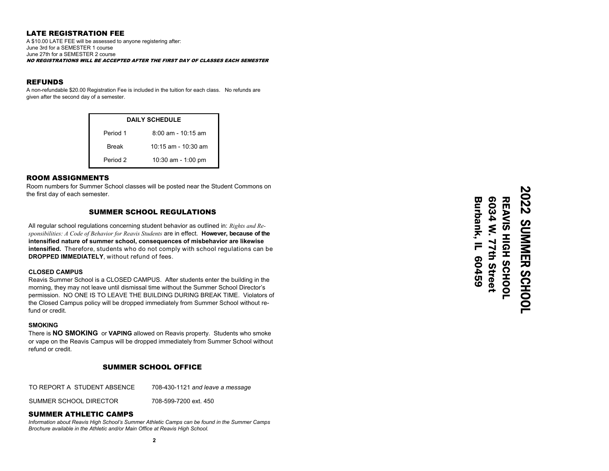#### LATE REGISTRATION FEE

A \$10.00 LATE FEE will be assessed to anyone registering after: June 3rd for a SEMESTER 1 course June 27th for a SEMESTER 2 courseNO REGISTRATIONS WILL BE ACCEPTED AFTER THE FIRST DAY OF CLASSES EACH SEMESTER

#### REFUNDS

 A non-refundable \$20.00 Registration Fee is included in the tuition for each class. No refunds are given after the second day of a semester.

| <b>DAILY SCHEDULE</b> |                     |  |  |
|-----------------------|---------------------|--|--|
| Period 1              | 8:00 am - 10:15 am  |  |  |
| <b>Break</b>          | 10:15 am - 10:30 am |  |  |
| Period 2              | 10:30 am - 1:00 pm  |  |  |

#### ROOM ASSIGNMENTS

Room numbers for Summer School classes will be posted near the Student Commons on the first day of each semester.

#### SUMMER SCHOOL REGULATIONS

All regular school regulations concerning student behavior as outlined in: *Rights and Responsibilities: A Code of Behavior for Reavis Students* are in effect. **However, because of the intensified nature of summer school, consequences of misbehavior are likewise intensified.** Therefore, students who do not comply with school regulations can be **DROPPED IMMEDIATELY**, without refund of fees.

#### **CLOSED CAMPUS**

Reavis Summer School is a CLOSED CAMPUS. After students enter the building in the morning, they may not leave until dismissal time without the Summer School Director's permission. NO ONE IS TO LEAVE THE BUILDING DURING BREAK TIME. Violators of the Closed Campus policy will be dropped immediately from Summer School without refund or credit.

#### **SMOKING**

There is **NO SMOKING** or **VAPING** allowed on Reavis property. Students who smoke or vape on the Reavis Campus will be dropped immediately from Summer School without refund or credit.

#### SUMMER SCHOOL OFFICE

TO REPORT A STUDENT ABSENCE 708-430-1121 *and leave a message*

SUMMER SCHOOL DIRECTOR 708-599-7200 ext. 450

#### SUMMER ATHLETIC CAMPS

*Information about Reavis High School's Summer Athletic Camps can be found in the Summer Camps Brochure available in the Athletic and/or Main Office at Reavis High School.*

2022 SUMMER SCHOOL **2022 SUMMER SCHOOL** REAVIS HIGH SCHOOL REAVIS HIGH SCHOOL

Burbank, IL 60459 6034 W. 77th Street

Burbank, IL 60459 6034 W. 77th Street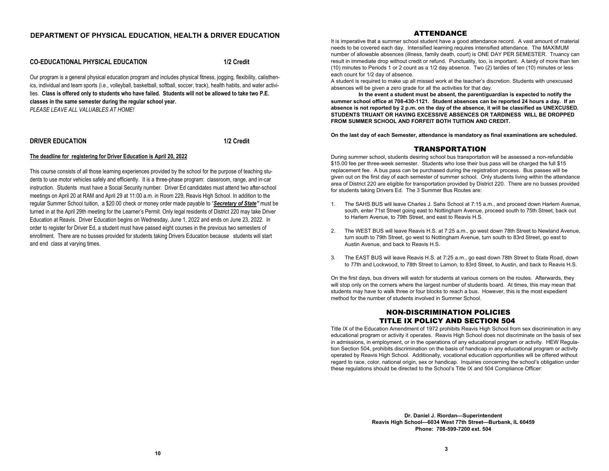#### **DEPARTMENT OF PHYSICAL EDUCATION, HEALTH & DRIVER EDUCATION**

#### **CO-EDUCATIONAL PHYSICAL EDUCATION 1/2 Credit**

Our program is a general physical education program and includes physical fitness, jogging, flexibility, calisthenics, individual and team sports (i.e., volleyball, basketball, softball, soccer, track), health habits, and water activities. **Class is offered only to students who have failed. Students will not be allowed to take two P.E. classes in the same semester during the regular school year.**  *PLEASE LEAVE ALL VALUABLES AT HOME!*

#### **DRIVER EDUCATION 1/2 Credit**

#### **The deadline for registering for Driver Education is April 20, 2022**

This course consists of all those learning experiences provided by the school for the purpose of teaching students to use motor vehicles safely and efficiently. It is a three-phase program: classroom, range, and in-car instruction. Students must have a Social Security number. Driver Ed candidates must attend two after-school meetings on April 20 at RAM and April 29 at 11:00 a.m. in Room 229, Reavis High School. In addition to the regular Summer School tuition, a \$20.00 check or money order made payable to "*Secretary of State"* must be turned in at the April 29th meeting for the Learner's Permit. Only legal residents of District 220 may take Driver Education at Reavis. Driver Education begins on Wednesday, June 1, 2022 and ends on June 23, 2022. In order to register for Driver Ed, a student must have passed eight courses in the previous two semesters of enrollment. There are no busses provided for students taking Drivers Education because students will start and end class at varying times.

#### ATTENDANCE

It is imperative that a summer school student have a good attendance record. A vast amount of material needs to be covered each day. Intensified learning requires intensified attendance. The MAXIMUM number of allowable absences (illness, family death, court) is ONE DAY PER SEMESTER. Truancy can result in immediate drop without credit or refund. Punctuality, too, is important. A tardy of more than ten (10) minutes to Periods 1 or 2 count as a 1/2 day absence. Two (2) tardies of ten (10) minutes or less each count for 1/2 day of absence.

A student is required to make up all missed work at the teacher's discretion. Students with unexcused absences will be given a zero grade for all the activities for that day.

**In the event a student must be absent, the parent/guardian is expected to notify the summer school office at 708-430-1121. Student absences can be reported 24 hours a day. If an absence is not reported by 2 p.m. on the day of the absence, it will be classified as UNEXCUSED. STUDENTS TRUANT OR HAVING EXCESSIVE ABSENCES OR TARDINESS WILL BE DROPPED FROM SUMMER SCHOOL AND FORFEIT BOTH TUITION AND CREDIT.** 

**On the last day of each Semester, attendance is mandatory as final examinations are scheduled.**

#### TRANSPORTATION

During summer school, students desiring school bus transportation will be assessed a non-refundable \$15.00 fee per three-week semester. Students who lose their bus pass will be charged the full \$15 replacement fee. A bus pass can be purchased during the registration process. Bus passes will be given out on the first day of each semester of summer school. Only students living within the attendance area of District 220 are eligible for transportation provided by District 220. There are no busses provided for students taking Drivers Ed. The 3 Summer Bus Routes are:

- 1. The SAHS BUS will leave Charles J. Sahs School at 7:15 a.m., and proceed down Harlem Avenue, south, enter 71st Street going east to Nottingham Avenue, proceed south to 75th Street, back out to Harlem Avenue, to 79th Street, and east to Reavis H.S.
- 2. The WEST BUS will leave Reavis H.S. at 7:25 a.m., go west down 78th Street to Newland Avenue, turn south to 79th Street, go west to Nottingham Avenue, turn south to 83rd Street, go east to Austin Avenue, and back to Reavis H.S.
- 3. The EAST BUS will leave Reavis H.S. at 7:25 a.m., go east down 78th Street to State Road, down to 77th and Lockwood, to 78th Street to Lamon, to 83rd Street, to Austin, and back to Reavis H.S.

On the first days, bus drivers will watch for students at various corners on the routes. Afterwards, they will stop only on the corners where the largest number of students board. At times, this may mean that students may have to walk three or four blocks to reach a bus. However, this is the most expedient method for the number of students involved in Summer School.

#### NON-DISCRIMINATION POLICIES TITLE IX POLICY AND SECTION 504

Title IX of the Education Amendment of 1972 prohibits Reavis High School from sex discrimination in any educational program or activity it operates. Reavis High School does not discriminate on the basis of sex in admissions, in employment, or in the operations of any educational program or activity. HEW Regulation Section 504, prohibits discrimination on the basis of handicap in any educational program or activity operated by Reavis High School. Additionally, vocational education opportunities will be offered without regard to race, color, national origin, sex or handicap. Inquiries concerning the school's obligation under these regulations should be directed to the School's Title IX and 504 Compliance Officer:

> **Dr. Daniel J. Riordan—Superintendent Reavis High School—6034 West 77th Street—Burbank, IL 60459 Phone: 708-599-7200 ext. 504**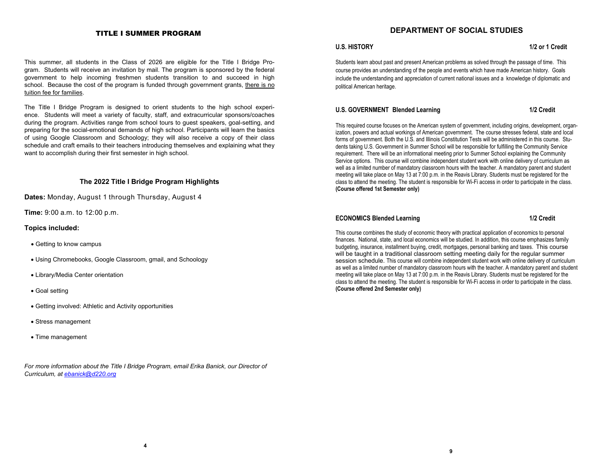#### TITLE I SUMMER PROGRAM

#### This summer, all students in the Class of 2026 are eligible for the Title I Bridge Program. Students will receive an invitation by mail. The program is sponsored by the federal government to help incoming freshmen students transition to and succeed in high school. Because the cost of the program is funded through government grants, there is no tuition fee for families.

The Title I Bridge Program is designed to orient students to the high school experience. Students will meet a variety of faculty, staff, and extracurricular sponsors/coaches during the program. Activities range from school tours to guest speakers, goal-setting, and preparing for the social-emotional demands of high school. Participants will learn the basics of using Google Classroom and Schoology; they will also receive a copy of their class schedule and craft emails to their teachers introducing themselves and explaining what they want to accomplish during their first semester in high school.

#### **The 2022 Title I Bridge Program Highlights**

**Dates:** Monday, August 1 through Thursday, August 4

**Time:** 9:00 a.m. to 12:00 p.m.

#### **Topics included:**

- Getting to know campus
- Using Chromebooks, Google Classroom, gmail, and Schoology
- Library/Media Center orientation
- Goal setting
- Getting involved: Athletic and Activity opportunities
- Stress management
- Time management

For more information about the Title I Bridge Program, email Erika Banick, our Director of *Curriculum, at ebanick@d220.org*

#### **DEPARTMENT OF SOCIAL STUDIES**

#### **U.S. HISTORY** 1/2 or 1 Credit

Students learn about past and present American problems as solved through the passage of time. This course provides an understanding of the people and events which have made American history. Goals include the understanding and appreciation of current national issues and a knowledge of diplomatic and political American heritage.

#### U.S. GOVERNMENT Blended Learning **1/2 Credit**

This required course focuses on the American system of government, including origins, development, organization, powers and actual workings of American government. The course stresses federal, state and local forms of government. Both the U.S. and Illinois Constitution Tests will be administered in this course. Students taking U.S. Government in Summer School will be responsible for fulfilling the Community Service requirement. There will be an informational meeting prior to Summer School explaining the Community Service options. This course will combine independent student work with online delivery of curriculum as well as a limited number of mandatory classroom hours with the teacher. A mandatory parent and student meeting will take place on May 13 at 7:00 p.m. in the Reavis Library. Students must be registered for the class to attend the meeting. The student is responsible for Wi-Fi access in order to participate in the class. **(Course offered 1st Semester only)**

#### **ECONOMICS Blended Learning 1/2 Credit**

This course combines the study of economic theory with practical application of economics to personal finances. National, state, and local economics will be studied. In addition, this course emphasizes family budgeting, insurance, installment buying, credit, mortgages, personal banking and taxes. This course will be taught in a traditional classroom setting meeting daily for the regular summer session schedule. This course will combine independent student work with online delivery of curriculum as well as a limited number of mandatory classroom hours with the teacher. A mandatory parent and student meeting will take place on May 13 at 7:00 p.m. in the Reavis Library. Students must be registered for the class to attend the meeting. The student is responsible for Wi-Fi access in order to participate in the class. **(Course offered 2nd Semester only)**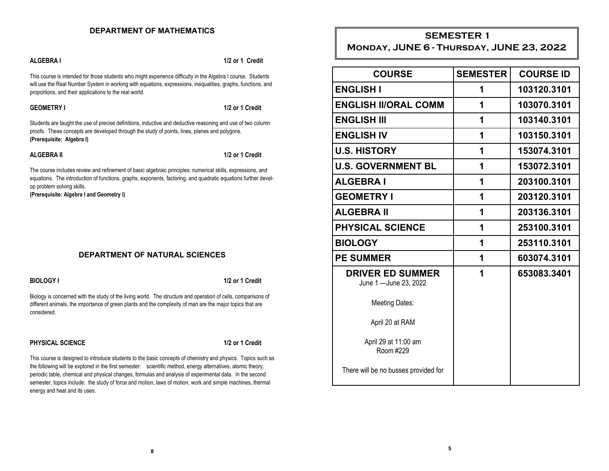### **DEPARTMENT OF MATHEMATICS**

**ALGEBRA I 1/2 or 1 Credit** 

This course is intended for those students who might experience difficulty in the Algebra I course. Students will use the Real Number System in working with equations, expressions, inequalities, graphs, functions, and proportions, and their applications to the real world.

#### **GEOMETRY I** 1/2 or 1 Credit

Students are taught the use of precise definitions, inductive and deductive reasoning and use of two column proofs. These concepts are developed through the study of points, lines, planes and polygons. **(Prerequisite: Algebra I)** 

**ALGEBRA II** 1/2 or 1 Credit

The course includes review and refinement of basic algebraic principles: numerical skills, expressions, and equations. The introduction of functions, graphs, exponents, factoring, and quadratic equations further develop problem solving skills.

**(Prerequisite: Algebra I and Geometry I)**

#### **DEPARTMENT OF NATURAL SCIENCES**

**BIOLOGY I** 1/2 or 1 Credit **1/2 or 1 Credit 1/2 or 1 Credit 1/2 or 1 Credit 1/2 or 1 Credit 1/2 or 1 Credit 1/2 or 1 Credit 1/2 or 1 Credit 1/2 or 1 Credit 1/2 or 1 Credit 1/2 or 1 Credit 1/2 or 1 Credit 1/2 or 1 Credit 1** 

Biology is concerned with the study of the living world. The structure and operation of cells, comparisons of different animals, the importance of green plants and the complexity of man are the major topics that are considered.

#### **PHYSICAL SCIENCE 1/2 or 1 Credit**

This course is designed to introduce students to the basic concepts of chemistry and physics. Topics such as the following will be explored in the first semester: scientific method, energy alternatives, atomic theory, periodic table, chemical and physical changes, formulas and analysis of experimental data. In the second semester, topics include: the study of force and motion, laws of motion, work and simple machines, thermal energy and heat and its uses.

## **SEMESTER 1**

## **Monday, JUNE 6 - Thursday, JUNE 23, 2022**

| <b>COURSE</b>                                     | <b>SEMESTER</b> | <b>COURSE ID</b> |
|---------------------------------------------------|-----------------|------------------|
| <b>ENGLISH I</b>                                  | 1               | 103120.3101      |
| <b>ENGLISH II/ORAL COMM</b>                       | 1               | 103070.3101      |
| <b>ENGLISH III</b>                                | 1               | 103140.3101      |
| <b>ENGLISH IV</b>                                 | 1               | 103150.3101      |
| <b>U.S. HISTORY</b>                               | 1               | 153074.3101      |
| <b>U.S. GOVERNMENT BL</b>                         | 1               | 153072.3101      |
| <b>ALGEBRAI</b>                                   | 1               | 203100.3101      |
| <b>GEOMETRY I</b>                                 | 1               | 203120.3101      |
| <b>ALGEBRA II</b>                                 | 1               | 203136.3101      |
| <b>PHYSICAL SCIENCE</b>                           | 1               | 253100.3101      |
| <b>BIOLOGY</b>                                    | 1               | 253110.3101      |
| <b>PE SUMMER</b>                                  | 1               | 603074.3101      |
| <b>DRIVER ED SUMMER</b><br>June 1 - June 23, 2022 | 1               | 653083.3401      |
| <b>Meeting Dates:</b>                             |                 |                  |
| April 20 at RAM                                   |                 |                  |
| April 29 at 11:00 am<br>Room #229                 |                 |                  |
| There will be no busses provided for              |                 |                  |